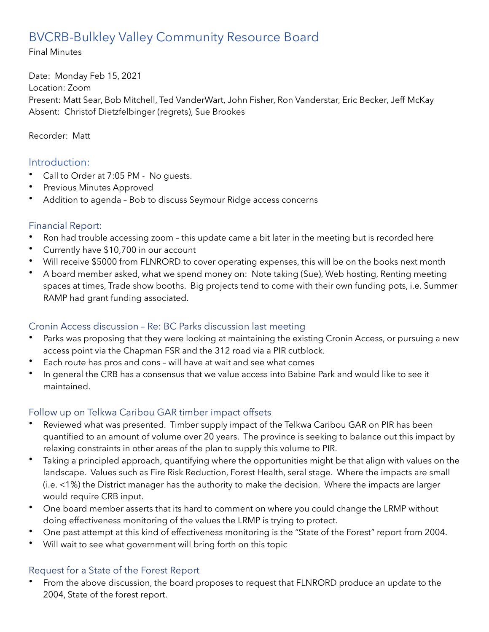# BVCRB-Bulkley Valley Community Resource Board

Final Minutes

Date: Monday Feb 15, 2021 Location: Zoom Present: Matt Sear, Bob Mitchell, Ted VanderWart, John Fisher, Ron Vanderstar, Eric Becker, Jeff McKay Absent: Christof Dietzfelbinger (regrets), Sue Brookes

Recorder: Matt

## Introduction:

- Call to Order at 7:05 PM No quests.
- Previous Minutes Approved
- Addition to agenda Bob to discuss Seymour Ridge access concerns

## Financial Report:

- Ron had trouble accessing zoom this update came a bit later in the meeting but is recorded here
- Currently have \$10,700 in our account
- Will receive \$5000 from FLNRORD to cover operating expenses, this will be on the books next month
- A board member asked, what we spend money on: Note taking (Sue), Web hosting, Renting meeting spaces at times, Trade show booths. Big projects tend to come with their own funding pots, i.e. Summer RAMP had grant funding associated.

## Cronin Access discussion – Re: BC Parks discussion last meeting

- Parks was proposing that they were looking at maintaining the existing Cronin Access, or pursuing a new access point via the Chapman FSR and the 312 road via a PIR cutblock.
- Each route has pros and cons will have at wait and see what comes
- In general the CRB has a consensus that we value access into Babine Park and would like to see it maintained.

## Follow up on Telkwa Caribou GAR timber impact offsets

- Reviewed what was presented. Timber supply impact of the Telkwa Caribou GAR on PIR has been quantified to an amount of volume over 20 years. The province is seeking to balance out this impact by relaxing constraints in other areas of the plan to supply this volume to PIR.
- Taking a principled approach, quantifying where the opportunities might be that align with values on the landscape. Values such as Fire Risk Reduction, Forest Health, seral stage. Where the impacts are small (i.e. <1%) the District manager has the authority to make the decision. Where the impacts are larger would require CRB input.
- One board member asserts that its hard to comment on where you could change the LRMP without doing effectiveness monitoring of the values the LRMP is trying to protect.
- One past attempt at this kind of effectiveness monitoring is the "State of the Forest" report from 2004.
- Will wait to see what government will bring forth on this topic

## Request for a State of the Forest Report

• From the above discussion, the board proposes to request that FLNRORD produce an update to the 2004, State of the forest report.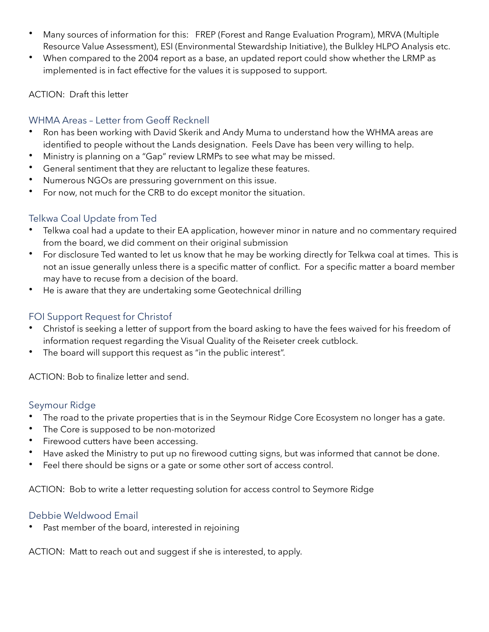- Many sources of information for this: FREP (Forest and Range Evaluation Program), MRVA (Multiple Resource Value Assessment), ESI (Environmental Stewardship Initiative), the Bulkley HLPO Analysis etc.
- When compared to the 2004 report as a base, an updated report could show whether the LRMP as implemented is in fact effective for the values it is supposed to support.

#### ACTION: Draft this letter

#### WHMA Areas – Letter from Geoff Recknell

- Ron has been working with David Skerik and Andy Muma to understand how the WHMA areas are identified to people without the Lands designation. Feels Dave has been very willing to help.
- Ministry is planning on a "Gap" review LRMPs to see what may be missed.
- General sentiment that they are reluctant to legalize these features.
- Numerous NGOs are pressuring government on this issue.
- For now, not much for the CRB to do except monitor the situation.

## Telkwa Coal Update from Ted

- Telkwa coal had a update to their EA application, however minor in nature and no commentary required from the board, we did comment on their original submission
- For disclosure Ted wanted to let us know that he may be working directly for Telkwa coal at times. This is not an issue generally unless there is a specific matter of conflict. For a specific matter a board member may have to recuse from a decision of the board.
- He is aware that they are undertaking some Geotechnical drilling

### FOI Support Request for Christof

- Christof is seeking a letter of support from the board asking to have the fees waived for his freedom of information request regarding the Visual Quality of the Reiseter creek cutblock.
- The board will support this request as "in the public interest".

ACTION: Bob to finalize letter and send.

#### Seymour Ridge

- The road to the private properties that is in the Seymour Ridge Core Ecosystem no longer has a gate.
- The Core is supposed to be non-motorized
- Firewood cutters have been accessing.
- Have asked the Ministry to put up no firewood cutting signs, but was informed that cannot be done.
- Feel there should be signs or a gate or some other sort of access control.

ACTION: Bob to write a letter requesting solution for access control to Seymore Ridge

#### Debbie Weldwood Email

Past member of the board, interested in rejoining

ACTION: Matt to reach out and suggest if she is interested, to apply.